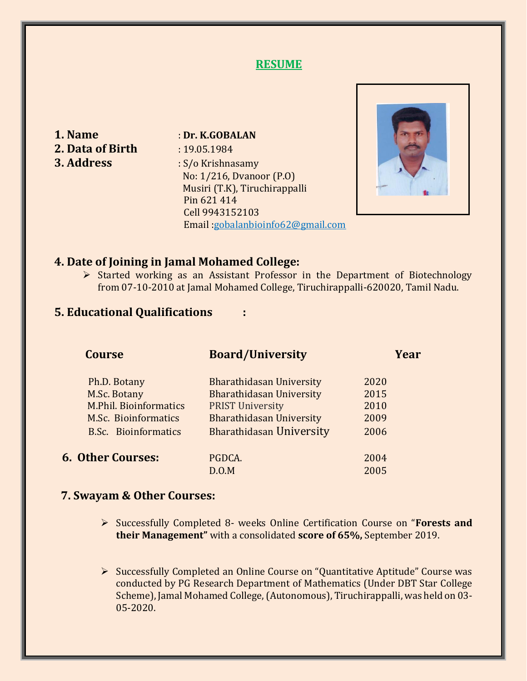## **RESUME**

- **2. Data of Birth** : 19.05.1984
- **1. Name** : **Dr. K.GOBALAN 3. Address** : S/o Krishnasamy No: 1/216, Dvanoor (P.O) Musiri (T.K), Tiruchirappalli Pin 621 414 Cell 9943152103 Email :gobalanbioinfo62@gmail.com



#### **4. Date of Joining in Jamal Mohamed College:**

 $\triangleright$  Started working as an Assistant Professor in the Department of Biotechnology from 07-10-2010 at Jamal Mohamed College, Tiruchirappalli-620020, Tamil Nadu.

#### **5. Educational Qualifications :**

| Ph.D. Botany<br>Bharathidasan University<br>2020                 |  |
|------------------------------------------------------------------|--|
| <b>Bharathidasan University</b><br>M.Sc. Botany<br>2015          |  |
| <b>M.Phil. Bioinformatics</b><br><b>PRIST University</b><br>2010 |  |
| <b>Bharathidasan University</b><br>M.Sc. Bioinformatics<br>2009  |  |
| <b>Bharathidasan University</b><br>B.Sc. Bioinformatics<br>2006  |  |
| <b>6. Other Courses:</b><br>PGDCA.<br>2004                       |  |
| 2005<br>D.O.M                                                    |  |

#### **7. Swayam & Other Courses:**

 Successfully Completed 8- weeks Online Certification Course on "**Forests and their Management"** with a consolidated **score of 65%,** September 2019.

 Successfully Completed an Online Course on "Quantitative Aptitude" Course was conducted by PG Research Department of Mathematics (Under DBT Star College Scheme), Jamal Mohamed College,(Autonomous), Tiruchirappalli, was held on 03- 05-2020.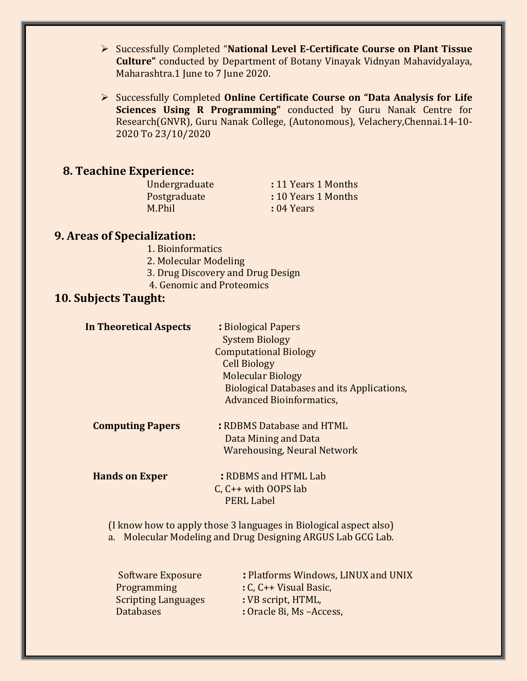Successfully Completed "**National Level E-Certificate Course on Plant Tissue Culture"** conducted by Department of Botany Vinayak Vidnyan Mahavidyalaya, Maharashtra.1 June to 7 June 2020.

 Successfully Completed **Online Certificate Course on "Data Analysis for Life Sciences Using R Programming"** conducted by Guru Nanak Centre for Research(GNVR), Guru Nanak College, (Autonomous), Velachery,Chennai.14-10- 2020 To 23/10/2020

#### **8. Teachine Experience:**

M.Phil **:** 04 Years

Undergraduate **:** 11 Years 1 Months Postgraduate **:** 10 Years 1 Months

## **9. Areas of Specialization:**

- 1. Bioinformatics
- 2. Molecular Modeling
- 3. Drug Discovery and Drug Design
- 4. Genomic and Proteomics

# **10. Subjects Taught:**

| <b>In Theoretical Aspects</b> | : Biological Papers                               |
|-------------------------------|---------------------------------------------------|
|                               | <b>System Biology</b>                             |
|                               | <b>Computational Biology</b>                      |
|                               | <b>Cell Biology</b>                               |
|                               | <b>Molecular Biology</b>                          |
|                               | <b>Biological Databases and its Applications,</b> |
|                               | <b>Advanced Bioinformatics,</b>                   |
| <b>Computing Papers</b>       | : RDBMS Database and HTML                         |
|                               | Data Mining and Data                              |
|                               | <b>Warehousing, Neural Network</b>                |
| <b>Hands on Exper</b>         | : RDBMS and HTML Lab                              |
|                               | C, $C++$ with OOPS lab                            |
|                               | <b>PERL Label</b>                                 |
|                               |                                                   |

(I know how to apply those 3 languages in Biological aspect also) a. Molecular Modeling and Drug Designing ARGUS Lab GCG Lab.

| Software Exposure          | : Platforms Windows, LINUX and UNIX |
|----------------------------|-------------------------------------|
| <b>Programming</b>         | $: C, C \rightarrow V$ isual Basic, |
| <b>Scripting Languages</b> | : VB script, HTML,                  |
| <b>Databases</b>           | : Oracle 8i, Ms - Access,           |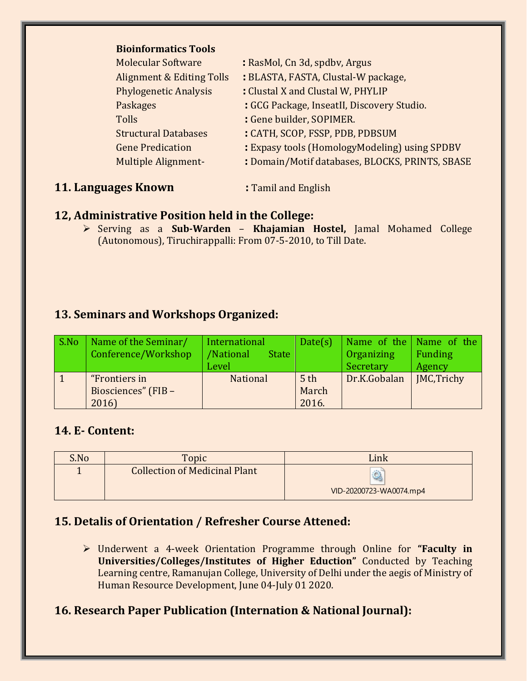| <b>Bioinformatics Tools</b> |  |
|-----------------------------|--|
|-----------------------------|--|

| <b>Molecular Software</b>            | : RasMol, Cn 3d, spdby, Argus                   |
|--------------------------------------|-------------------------------------------------|
| <b>Alignment &amp; Editing Tolls</b> | : BLASTA, FASTA, Clustal-W package,             |
| <b>Phylogenetic Analysis</b>         | : Clustal X and Clustal W, PHYLIP               |
| Paskages                             | : GCG Package, InseatII, Discovery Studio.      |
| <b>Tolls</b>                         | : Gene builder, SOPIMER.                        |
| <b>Structural Databases</b>          | : CATH, SCOP, FSSP, PDB, PDBSUM                 |
| <b>Gene Predication</b>              | : Expasy tools (HomologyModeling) using SPDBV   |
| <b>Multiple Alignment-</b>           | : Domain/Motif databases, BLOCKS, PRINTS, SBASE |
|                                      |                                                 |

#### **11. Languages Known : Tamil and English**

# **12, Administrative Position held in the College:**

 Serving as a **Sub-Warden** – **Khajamian Hostel,** Jamal Mohamed College (Autonomous), Tiruchirappalli: From 07-5-2010, to Till Date.

# **13. Seminars and Workshops Organized:**

| S.No | Name of the Seminar/<br>Conference/Workshop   | International<br>/National<br><b>State</b><br>Level | Date(s)                           | Organizing<br>Secretary | Name of the Name of the<br>Funding<br>Agency |
|------|-----------------------------------------------|-----------------------------------------------------|-----------------------------------|-------------------------|----------------------------------------------|
|      | "Frontiers in<br>Biosciences" (FIB -<br>2016) | <b>National</b>                                     | 5 <sup>th</sup><br>March<br>2016. | Dr.K.Gobalan            | MC,Trichy                                    |

## **14. E- Content:**

| S.No | Topic                                | Link                    |
|------|--------------------------------------|-------------------------|
|      | <b>Collection of Medicinal Plant</b> | VID-20200723-WA0074.mp4 |

# **15. Detalis of Orientation / Refresher Course Attened:**

 Underwent a 4-week Orientation Programme through Online for **"Faculty in Universities/Colleges/Institutes of Higher Eduction"** Conducted by Teaching Learning centre, Ramanujan College, University of Delhi under the aegis of Ministry of Human Resource Development, June 04-July 01 2020.

# **16. Research Paper Publication (Internation & National Journal):**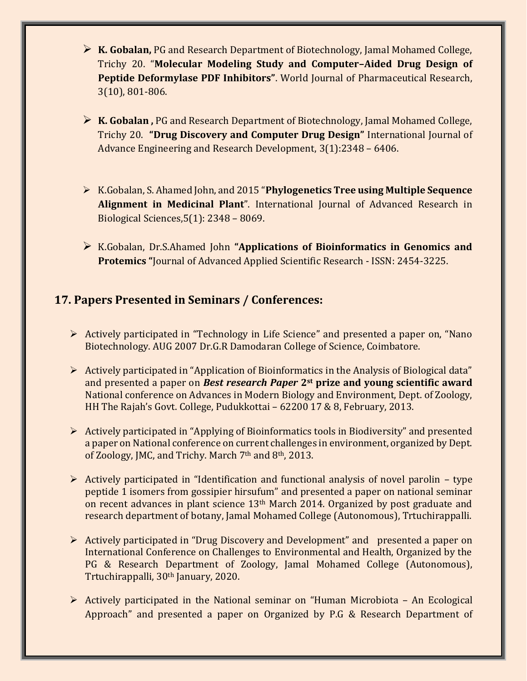- **K. Gobalan,** PG and Research Department of Biotechnology, Jamal Mohamed College, Trichy 20. "**Molecular Modeling Study and Computer–Aided Drug Design of Peptide Deformylase PDF Inhibitors"**. World Journal of Pharmaceutical Research, 3(10), 801-806.
- **K. Gobalan ,** PG and Research Department of Biotechnology, Jamal Mohamed College, Trichy 20. **"Drug Discovery and Computer Drug Design"** International Journal of Advance Engineering and Research Development, 3(1):2348 – 6406.
- K.Gobalan, S. Ahamed John, and 2015 "**Phylogenetics Tree using Multiple Sequence Alignment in Medicinal Plant**". International Journal of Advanced Research in Biological Sciences,5(1): 2348 – 8069.
- K.Gobalan, Dr.S.Ahamed John **"Applications of Bioinformatics in Genomics and Protemics "**Journal of Advanced Applied Scientific Research - ISSN: 2454-3225.

# **17. Papers Presented in Seminars / Conferences:**

- Actively participated in "Technology in Life Science" and presented a paper on, "Nano Biotechnology. AUG 2007 Dr.G.R Damodaran College of Science, Coimbatore.
- $\triangleright$  Actively participated in "Application of Bioinformatics in the Analysis of Biological data" and presented a paper on *Best research Paper* **2st prize and young scientific award** National conference on Advances in Modern Biology and Environment, Dept. of Zoology, HH The Rajah's Govt. College, Pudukkottai – 62200 17 & 8, February, 2013.
- $\triangleright$  Actively participated in "Applying of Bioinformatics tools in Biodiversity" and presented a paper on National conference on current challenges in environment, organized by Dept. of Zoology, JMC, and Trichy. March 7<sup>th</sup> and 8<sup>th</sup>, 2013.
- $\triangleright$  Actively participated in "Identification and functional analysis of novel parolin type peptide 1 isomers from gossipier hirsufum" and presented a paper on national seminar on recent advances in plant science 13th March 2014. Organized by post graduate and research department of botany, Jamal Mohamed College (Autonomous), Trtuchirappalli.
- Actively participated in "Drug Discovery and Development" and presented a paper on International Conference on Challenges to Environmental and Health, Organized by the PG & Research Department of Zoology, Jamal Mohamed College (Autonomous), Trtuchirappalli, 30th January, 2020.
- $\triangleright$  Actively participated in the National seminar on "Human Microbiota An Ecological Approach" and presented a paper on Organized by P.G & Research Department of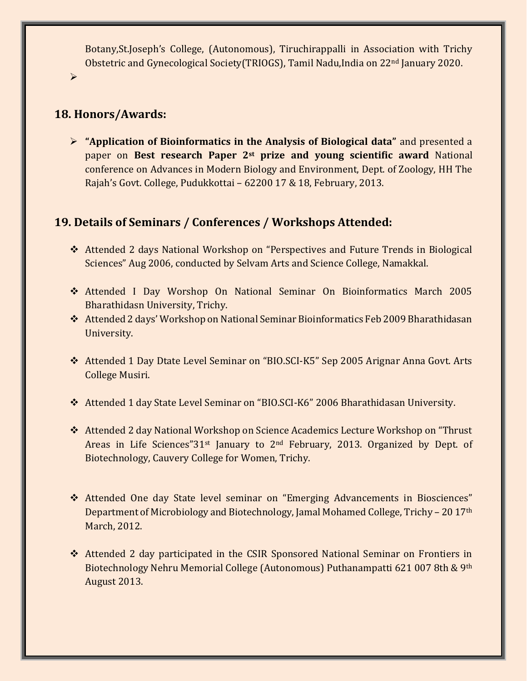Botany,St.Joseph's College, (Autonomous), Tiruchirappalli in Association with Trichy Obstetric and Gynecological Society(TRIOGS), Tamil Nadu,India on 22nd January 2020.

 $\blacktriangleright$ 

# **18. Honors/Awards:**

 **"Application of Bioinformatics in the Analysis of Biological data"** and presented a paper on **Best research Paper 2st prize and young scientific award** National conference on Advances in Modern Biology and Environment, Dept. of Zoology, HH The Rajah's Govt. College, Pudukkottai – 62200 17 & 18, February, 2013.

## **19. Details of Seminars / Conferences / Workshops Attended:**

- Attended 2 days National Workshop on "Perspectives and Future Trends in Biological Sciences" Aug 2006, conducted by Selvam Arts and Science College, Namakkal.
- Attended I Day Worshop On National Seminar On Bioinformatics March 2005 Bharathidasn University, Trichy.
- Attended 2 days' Workshop on National Seminar Bioinformatics Feb 2009 Bharathidasan University.
- Attended 1 Day Dtate Level Seminar on "BIO.SCI-K5" Sep 2005 Arignar Anna Govt. Arts College Musiri.
- Attended 1 day State Level Seminar on "BIO.SCI-K6" 2006 Bharathidasan University.
- Attended 2 day National Workshop on Science Academics Lecture Workshop on "Thrust Areas in Life Sciences"31st January to 2nd February, 2013. Organized by Dept. of Biotechnology, Cauvery College for Women, Trichy.
- Attended One day State level seminar on "Emerging Advancements in Biosciences" Department of Microbiology and Biotechnology, Jamal Mohamed College, Trichy – 20 17th March, 2012.
- Attended 2 day participated in the CSIR Sponsored National Seminar on Frontiers in Biotechnology Nehru Memorial College (Autonomous) Puthanampatti 621 007 8th & 9th August 2013.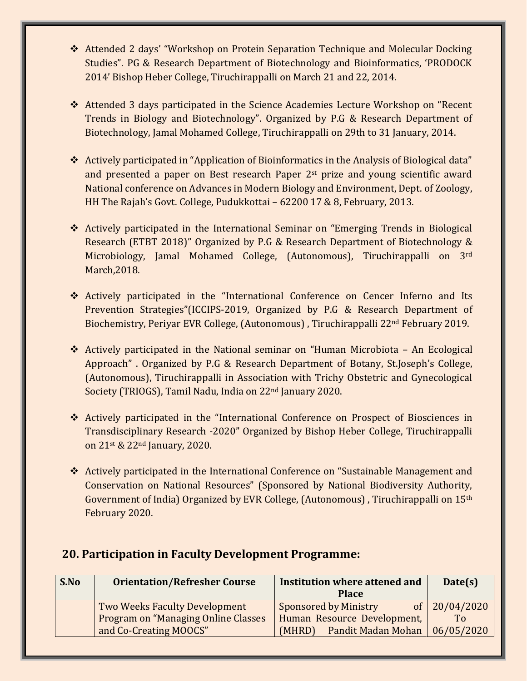- Attended 2 days' "Workshop on Protein Separation Technique and Molecular Docking Studies". PG & Research Department of Biotechnology and Bioinformatics, 'PRODOCK 2014' Bishop Heber College, Tiruchirappalli on March 21 and 22, 2014.
- Attended 3 days participated in the Science Academies Lecture Workshop on "Recent Trends in Biology and Biotechnology". Organized by P.G & Research Department of Biotechnology, Jamal Mohamed College, Tiruchirappalli on 29th to 31 January, 2014.
- Actively participated in "Application of Bioinformatics in the Analysis of Biological data" and presented a paper on Best research Paper 2st prize and young scientific award National conference on Advances in Modern Biology and Environment, Dept. of Zoology, HH The Rajah's Govt. College, Pudukkottai – 62200 17 & 8, February, 2013.
- Actively participated in the International Seminar on "Emerging Trends in Biological Research (ETBT 2018)" Organized by P.G & Research Department of Biotechnology & Microbiology, Jamal Mohamed College, (Autonomous), Tiruchirappalli on 3rd March,2018.
- Actively participated in the "International Conference on Cencer Inferno and Its Prevention Strategies"(ICCIPS-2019, Organized by P.G & Research Department of Biochemistry, Periyar EVR College, (Autonomous) , Tiruchirappalli 22nd February 2019.
- Actively participated in the National seminar on "Human Microbiota An Ecological Approach" . Organized by P.G & Research Department of Botany, St.Joseph's College, (Autonomous), Tiruchirappalli in Association with Trichy Obstetric and Gynecological Society (TRIOGS), Tamil Nadu, India on 22nd January 2020.
- Actively participated in the "International Conference on Prospect of Biosciences in Transdisciplinary Research -2020" Organized by Bishop Heber College, Tiruchirappalli on 21st & 22nd January, 2020.
- Actively participated in the International Conference on "Sustainable Management and Conservation on National Resources" (Sponsored by National Biodiversity Authority, Government of India) Organized by EVR College, (Autonomous) , Tiruchirappalli on 15th February 2020.

| S.No | <b>Orientation/Refresher Course</b>                                          | Institution where attened and<br><b>Place</b>               | Date(s)                           |
|------|------------------------------------------------------------------------------|-------------------------------------------------------------|-----------------------------------|
|      | Two Weeks Faculty Development<br><b>Program on "Managing Online Classes"</b> | <b>Sponsored by Ministry</b><br>Human Resource Development, | of $20/04/2020$<br>T <sub>o</sub> |
|      | and Co-Creating MOOCS"                                                       | Pandit Madan Mohan<br>(MHRD)                                | 06/05/2020                        |

## **20. Participation in Faculty Development Programme:**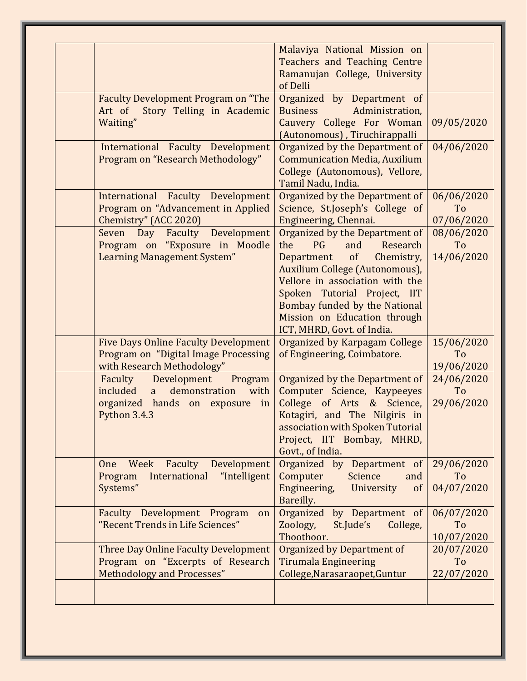|                                                                                                                               | Malaviya National Mission on<br>Teachers and Teaching Centre<br>Ramanujan College, University<br>of Delli                                                                                                                                                                                                  |                                            |
|-------------------------------------------------------------------------------------------------------------------------------|------------------------------------------------------------------------------------------------------------------------------------------------------------------------------------------------------------------------------------------------------------------------------------------------------------|--------------------------------------------|
| <b>Faculty Development Program on "The</b><br>Story Telling in Academic<br>Art of<br>Waiting"                                 | Organized by Department of<br><b>Business</b><br>Administration,<br>Cauvery College For Woman<br>(Autonomous), Tiruchirappalli                                                                                                                                                                             | 09/05/2020                                 |
| International Faculty Development<br>Program on "Research Methodology"                                                        | Organized by the Department of<br><b>Communication Media, Auxilium</b><br>College (Autonomous), Vellore,<br>Tamil Nadu, India.                                                                                                                                                                             | 04/06/2020                                 |
| International Faculty Development<br>Program on "Advancement in Applied<br>Chemistry" (ACC 2020)                              | Organized by the Department of<br>Science, St.Joseph's College of<br>Engineering, Chennai.                                                                                                                                                                                                                 | 06/06/2020<br>T <sub>o</sub><br>07/06/2020 |
| Seven Day Faculty Development<br>Program on "Exposure in Moodle<br><b>Learning Management System"</b>                         | Organized by the Department of<br>the<br>PG<br>and<br>Research<br>$\sigma$<br>Chemistry,<br>Department<br>Auxilium College (Autonomous),<br>Vellore in association with the<br>Spoken Tutorial Project, IIT<br>Bombay funded by the National<br>Mission on Education through<br>ICT, MHRD, Govt. of India. | 08/06/2020<br>T <sub>o</sub><br>14/06/2020 |
| <b>Five Days Online Faculty Development</b><br>Program on "Digital Image Processing<br>with Research Methodology"             | Organized by Karpagam College<br>of Engineering, Coimbatore.                                                                                                                                                                                                                                               | 15/06/2020<br>To<br>19/06/2020             |
| Faculty<br>Development<br>Program<br>demonstration<br>included a<br>with<br>organized hands on exposure<br>in<br>Python 3.4.3 | Organized by the Department of<br>Computer Science, Kaypeeyes<br>College of Arts & Science,<br>Kotagiri, and The Nilgiris in<br>association with Spoken Tutorial<br>Project, IIT Bombay, MHRD,<br>Govt., of India.                                                                                         | 24/06/2020<br>To<br>29/06/2020             |
| Faculty<br>Development<br>Week<br>One<br>International "Intelligent<br>Program<br>Systems"                                    | Organized by Department of<br>Computer<br>Science<br>and<br>Engineering,<br>University<br>$\sigma$<br>Bareilly.                                                                                                                                                                                            | 29/06/2020<br>T <sub>o</sub><br>04/07/2020 |
| Faculty Development Program<br>on<br>"Recent Trends in Life Sciences"                                                         | Organized by Department of<br>Zoology,<br>College,<br>St.Jude's<br>Thoothoor.                                                                                                                                                                                                                              | 06/07/2020<br>To<br>10/07/2020             |
| Three Day Online Faculty Development<br>Program on "Excerpts of Research<br>Methodology and Processes"                        | <b>Organized by Department of</b><br><b>Tirumala Engineering</b><br>College, Narasaraopet, Guntur                                                                                                                                                                                                          | 20/07/2020<br>To<br>22/07/2020             |
|                                                                                                                               |                                                                                                                                                                                                                                                                                                            |                                            |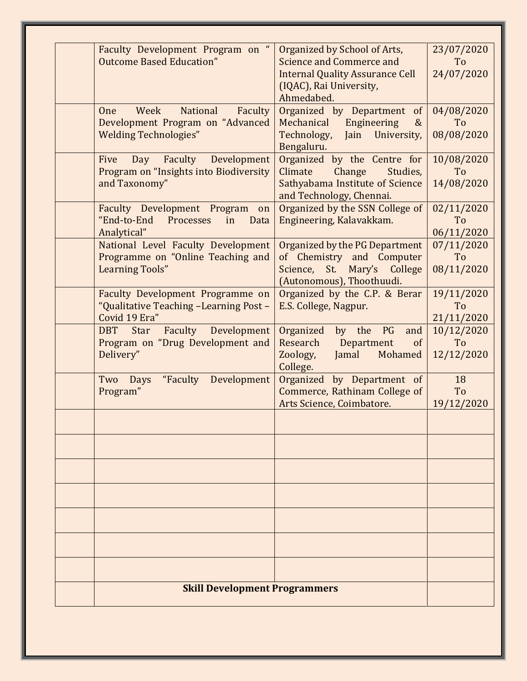| Faculty Development Program on "<br><b>Outcome Based Education"</b>                                      | Organized by School of Arts,<br>Science and Commerce and<br><b>Internal Quality Assurance Cell</b><br>(IQAC), Rai University,<br>Ahmedabed. | 23/07/2020<br>T <sub>o</sub><br>24/07/2020 |  |  |
|----------------------------------------------------------------------------------------------------------|---------------------------------------------------------------------------------------------------------------------------------------------|--------------------------------------------|--|--|
| National<br>Faculty<br>Week<br>One<br>Development Program on "Advanced<br><b>Welding Technologies"</b>   | Organized by Department<br>of<br>Mechanical<br>Engineering<br>$\&$<br>Technology,<br>Jain<br>University,<br>Bengaluru.                      | 04/08/2020<br>T <sub>o</sub><br>08/08/2020 |  |  |
| Faculty<br>Development<br>Five<br>Day<br>Program on "Insights into Biodiversity<br>and Taxonomy"         | Organized by the Centre for<br>Climate<br>Change<br>Studies,<br>Sathyabama Institute of Science<br>and Technology, Chennai.                 | 10/08/2020<br>To<br>14/08/2020             |  |  |
| Faculty Development Program<br>on<br>"End-to-End<br>Processes<br>in<br>Data<br>Analytical"               | Organized by the SSN College of<br>Engineering, Kalavakkam.                                                                                 | 02/11/2020<br>To<br>06/11/2020             |  |  |
| National Level Faculty Development<br>Programme on "Online Teaching and<br><b>Learning Tools"</b>        | Organized by the PG Department<br>of Chemistry and Computer<br>Science, St. Mary's College<br>(Autonomous), Thoothuudi.                     | 07/11/2020<br>To<br>08/11/2020             |  |  |
| Faculty Development Programme on<br>"Qualitative Teaching -Learning Post -<br>Covid 19 Era"              | Organized by the C.P. & Berar<br>E.S. College, Nagpur.                                                                                      | 19/11/2020<br>To<br>21/11/2020             |  |  |
| <b>Faculty</b> Development<br><b>DBT</b><br><b>Star</b><br>Program on "Drug Development and<br>Delivery" | Organized<br>by the<br>PG<br>and<br>Research<br>Department<br>of<br>Zoology,<br>Jamal<br>Mohamed<br>College.                                | 10/12/2020<br>To<br>12/12/2020             |  |  |
| Development<br>"Faculty<br>Two<br>Days<br>Program"                                                       | Organized by Department of<br>Commerce, Rathinam College of<br>Arts Science, Coimbatore.                                                    | 18<br>To<br>19/12/2020                     |  |  |
|                                                                                                          |                                                                                                                                             |                                            |  |  |
|                                                                                                          |                                                                                                                                             |                                            |  |  |
|                                                                                                          |                                                                                                                                             |                                            |  |  |
|                                                                                                          |                                                                                                                                             |                                            |  |  |
|                                                                                                          | <b>Skill Development Programmers</b>                                                                                                        |                                            |  |  |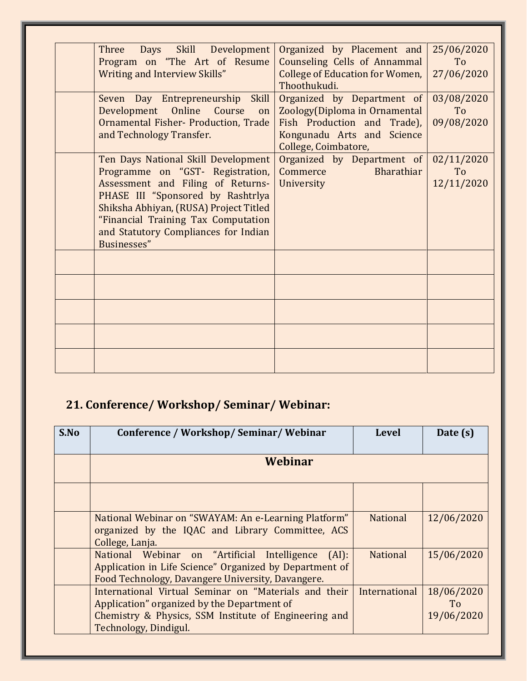| Three Days Skill Development<br>Program on "The Art of Resume                                                                                                                                                                                                                             | Organized by Placement and<br>Counseling Cells of Annammal                                                                                       | 25/06/2020<br>To               |
|-------------------------------------------------------------------------------------------------------------------------------------------------------------------------------------------------------------------------------------------------------------------------------------------|--------------------------------------------------------------------------------------------------------------------------------------------------|--------------------------------|
| <b>Writing and Interview Skills"</b>                                                                                                                                                                                                                                                      | <b>College of Education for Women,</b><br>Thoothukudi.                                                                                           | 27/06/2020                     |
| Seven Day Entrepreneurship Skill<br>Development Online Course<br>on<br>Ornamental Fisher- Production, Trade<br>and Technology Transfer.                                                                                                                                                   | Organized by Department of<br>Zoology(Diploma in Ornamental<br>Fish Production and Trade),<br>Kongunadu Arts and Science<br>College, Coimbatore, | 03/08/2020<br>To<br>09/08/2020 |
| Ten Days National Skill Development<br>Programme on "GST- Registration,<br>Assessment and Filing of Returns-<br>PHASE III "Sponsored by Rashtrlya<br>Shiksha Abhiyan, (RUSA) Project Titled<br>"Financial Training Tax Computation<br>and Statutory Compliances for Indian<br>Businesses" | Organized by Department of<br>Bharathiar<br><b>Commerce</b><br>University                                                                        | 02/11/2020<br>To<br>12/11/2020 |
|                                                                                                                                                                                                                                                                                           |                                                                                                                                                  |                                |
|                                                                                                                                                                                                                                                                                           |                                                                                                                                                  |                                |
|                                                                                                                                                                                                                                                                                           |                                                                                                                                                  |                                |
|                                                                                                                                                                                                                                                                                           |                                                                                                                                                  |                                |
|                                                                                                                                                                                                                                                                                           |                                                                                                                                                  |                                |

# **21. Conference/ Workshop/ Seminar/ Webinar:**

| S.No | Conference / Workshop/ Seminar/ Webinar                                                                                                                                                | <b>Level</b>    | Date (s)                       |  |
|------|----------------------------------------------------------------------------------------------------------------------------------------------------------------------------------------|-----------------|--------------------------------|--|
|      | Webinar                                                                                                                                                                                |                 |                                |  |
|      |                                                                                                                                                                                        |                 |                                |  |
|      | National Webinar on "SWAYAM: An e-Learning Platform"<br>organized by the IQAC and Library Committee, ACS<br>College, Lanja.                                                            | <b>National</b> | 12/06/2020                     |  |
|      | National Webinar on "Artificial Intelligence (AI):<br>Application in Life Science" Organized by Department of<br>Food Technology, Davangere University, Davangere.                     | <b>National</b> | 15/06/2020                     |  |
|      | International Virtual Seminar on "Materials and their<br>Application" organized by the Department of<br>Chemistry & Physics, SSM Institute of Engineering and<br>Technology, Dindigul. | International   | 18/06/2020<br>To<br>19/06/2020 |  |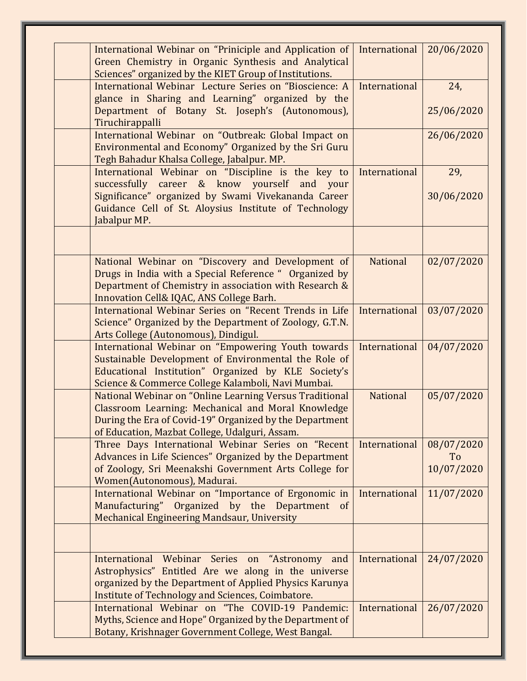| International Webinar on "Priniciple and Application of<br>Green Chemistry in Organic Synthesis and Analytical<br>Sciences" organized by the KIET Group of Institutions.                                                   | International   | 20/06/2020                     |
|----------------------------------------------------------------------------------------------------------------------------------------------------------------------------------------------------------------------------|-----------------|--------------------------------|
| International Webinar Lecture Series on "Bioscience: A<br>glance in Sharing and Learning" organized by the                                                                                                                 | International   | 24,                            |
| Department of Botany St. Joseph's (Autonomous),<br>Tiruchirappalli                                                                                                                                                         |                 | 25/06/2020                     |
| International Webinar on "Outbreak: Global Impact on<br>Environmental and Economy" Organized by the Sri Guru<br>Tegh Bahadur Khalsa College, Jabalpur. MP.                                                                 |                 | 26/06/2020                     |
| International Webinar on "Discipline is the key to<br>successfully career & know yourself and your                                                                                                                         | International   | 29,                            |
| Significance" organized by Swami Vivekananda Career<br>Guidance Cell of St. Aloysius Institute of Technology<br>Jabalpur MP.                                                                                               |                 | 30/06/2020                     |
|                                                                                                                                                                                                                            |                 |                                |
| National Webinar on "Discovery and Development of<br>Drugs in India with a Special Reference " Organized by<br>Department of Chemistry in association with Research &<br>Innovation Cell& IQAC, ANS College Barh.          | <b>National</b> | 02/07/2020                     |
| International Webinar Series on "Recent Trends in Life<br>Science" Organized by the Department of Zoology, G.T.N.<br>Arts College (Autonomous), Dindigul.                                                                  | International   | 03/07/2020                     |
| International Webinar on "Empowering Youth towards<br>Sustainable Development of Environmental the Role of<br>Educational Institution" Organized by KLE Society's<br>Science & Commerce College Kalamboli, Navi Mumbai.    | International   | 04/07/2020                     |
| National Webinar on "Online Learning Versus Traditional<br>Classroom Learning: Mechanical and Moral Knowledge<br>During the Era of Covid-19" Organized by the Department<br>of Education, Mazbat College, Udalguri, Assam. | <b>National</b> | 05/07/2020                     |
| Three Days International Webinar Series on "Recent<br>Advances in Life Sciences" Organized by the Department<br>of Zoology, Sri Meenakshi Government Arts College for<br>Women(Autonomous), Madurai.                       | International   | 08/07/2020<br>To<br>10/07/2020 |
| International Webinar on "Importance of Ergonomic in<br>Manufacturing" Organized by the Department of<br>Mechanical Engineering Mandsaur, University                                                                       | International   | 11/07/2020                     |
| International Webinar Series on "Astronomy and<br>Astrophysics" Entitled Are we along in the universe<br>organized by the Department of Applied Physics Karunya<br>Institute of Technology and Sciences, Coimbatore.       | International   | 24/07/2020                     |
| International Webinar on "The COVID-19 Pandemic:<br>Myths, Science and Hope" Organized by the Department of<br>Botany, Krishnager Government College, West Bangal.                                                         | International   | 26/07/2020                     |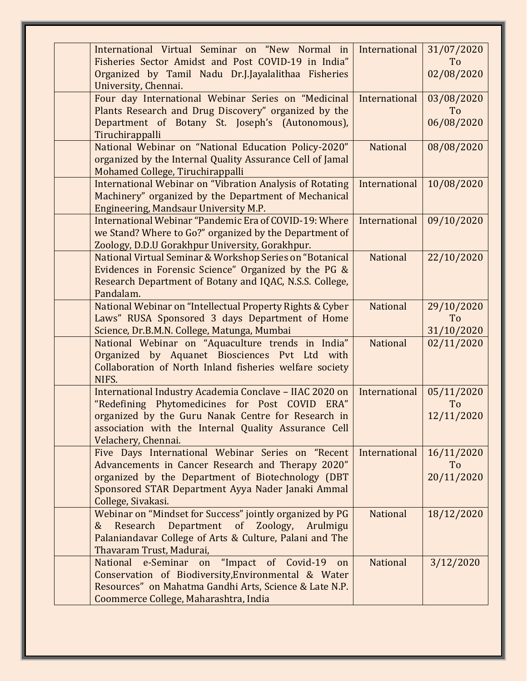| International Virtual Seminar on "New Normal in<br>Fisheries Sector Amidst and Post COVID-19 in India"<br>Organized by Tamil Nadu Dr.J.Jayalalithaa Fisheries<br>University, Chennai.                                                          | International   | 31/07/2020<br>To<br>02/08/2020 |
|------------------------------------------------------------------------------------------------------------------------------------------------------------------------------------------------------------------------------------------------|-----------------|--------------------------------|
| Four day International Webinar Series on "Medicinal<br>Plants Research and Drug Discovery" organized by the<br>Department of Botany St. Joseph's (Autonomous),<br>Tiruchirappalli                                                              | International   | 03/08/2020<br>To<br>06/08/2020 |
| National Webinar on "National Education Policy-2020"<br>organized by the Internal Quality Assurance Cell of Jamal<br>Mohamed College, Tiruchirappalli                                                                                          | <b>National</b> | 08/08/2020                     |
| <b>International Webinar on "Vibration Analysis of Rotating</b><br>Machinery" organized by the Department of Mechanical<br>Engineering, Mandsaur University M.P.                                                                               | International   | 10/08/2020                     |
| International Webinar "Pandemic Era of COVID-19: Where<br>we Stand? Where to Go?" organized by the Department of<br>Zoology, D.D.U Gorakhpur University, Gorakhpur.                                                                            | International   | 09/10/2020                     |
| National Virtual Seminar & Workshop Series on "Botanical<br>Evidences in Forensic Science" Organized by the PG &<br>Research Department of Botany and IQAC, N.S.S. College,<br>Pandalam.                                                       | <b>National</b> | 22/10/2020                     |
| National Webinar on "Intellectual Property Rights & Cyber<br>Laws" RUSA Sponsored 3 days Department of Home<br>Science, Dr.B.M.N. College, Matunga, Mumbai                                                                                     | <b>National</b> | 29/10/2020<br>To<br>31/10/2020 |
| National Webinar on "Aquaculture trends in India"<br>Organized by Aquanet Biosciences Pvt Ltd with<br>Collaboration of North Inland fisheries welfare society<br>NIFS.                                                                         | <b>National</b> | 02/11/2020                     |
| International Industry Academia Conclave - IIAC 2020 on<br>"Redefining Phytomedicines for Post COVID ERA"<br>organized by the Guru Nanak Centre for Research in<br>association with the Internal Quality Assurance Cell<br>Velachery, Chennai. | International   | 05/11/2020<br>To<br>12/11/2020 |
| Five Days International Webinar Series on "Recent<br>Advancements in Cancer Research and Therapy 2020"<br>organized by the Department of Biotechnology (DBT<br>Sponsored STAR Department Ayya Nader Janaki Ammal<br>College, Sivakasi.         | International   | 16/11/2020<br>To<br>20/11/2020 |
| Webinar on "Mindset for Success" jointly organized by PG<br>Research<br>Department of Zoology,<br>&<br>Arulmigu<br>Palaniandavar College of Arts & Culture, Palani and The<br>Thavaram Trust, Madurai,                                         | <b>National</b> | 18/12/2020                     |
| National e-Seminar on "Impact of Covid-19<br>on<br>Conservation of Biodiversity, Environmental & Water<br>Resources" on Mahatma Gandhi Arts, Science & Late N.P.<br>Coommerce College, Maharashtra, India                                      | <b>National</b> | 3/12/2020                      |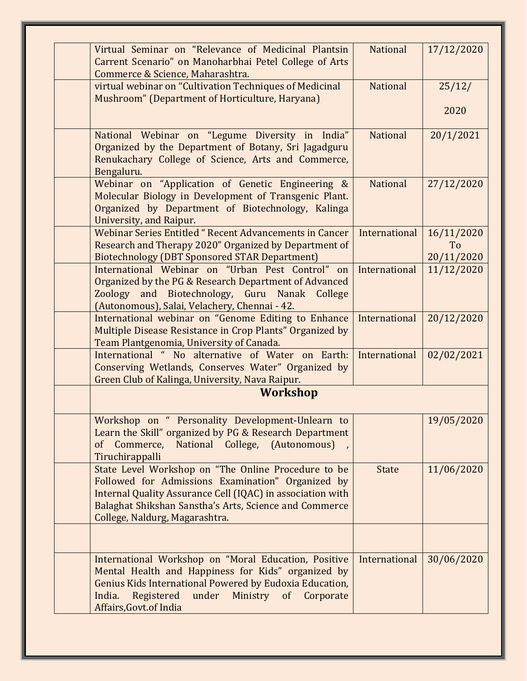| Virtual Seminar on "Relevance of Medicinal Plantsin<br>Carrent Scenario" on Manoharbhai Petel College of Arts<br>Commerce & Science, Maharashtra.                                                                                                                      | <b>National</b> | 17/12/2020                     |
|------------------------------------------------------------------------------------------------------------------------------------------------------------------------------------------------------------------------------------------------------------------------|-----------------|--------------------------------|
| virtual webinar on "Cultivation Techniques of Medicinal<br>Mushroom" (Department of Horticulture, Haryana)                                                                                                                                                             | <b>National</b> | 25/12/<br>2020                 |
| National Webinar on "Legume Diversity in India"<br>Organized by the Department of Botany, Sri Jagadguru<br>Renukachary College of Science, Arts and Commerce,<br>Bengaluru.                                                                                            | <b>National</b> | 20/1/2021                      |
| Webinar on "Application of Genetic Engineering &<br>Molecular Biology in Development of Transgenic Plant.<br>Organized by Department of Biotechnology, Kalinga<br>University, and Raipur.                                                                              | <b>National</b> | 27/12/2020                     |
| Webinar Series Entitled "Recent Advancements in Cancer<br>Research and Therapy 2020" Organized by Department of<br><b>Biotechnology (DBT Sponsored STAR Department)</b>                                                                                                | International   | 16/11/2020<br>To<br>20/11/2020 |
| International Webinar on "Urban Pest Control" on<br>Organized by the PG & Research Department of Advanced<br>Zoology and Biotechnology, Guru Nanak College<br>(Autonomous), Salai, Velachery, Chennai - 42.                                                            | International   | 11/12/2020                     |
| International webinar on "Genome Editing to Enhance<br>Multiple Disease Resistance in Crop Plants" Organized by<br>Team Plantgenomia, University of Canada.                                                                                                            | International   | 20/12/2020                     |
| International " No alternative of Water on Earth:<br>Conserving Wetlands, Conserves Water" Organized by<br>Green Club of Kalinga, University, Nava Raipur.                                                                                                             | International   | 02/02/2021                     |
| <b>Workshop</b>                                                                                                                                                                                                                                                        |                 |                                |
| Workshop on " Personality Development-Unlearn to<br>Learn the Skill" organized by PG & Research Department<br>of Commerce, National College, (Autonomous),<br>Tiruchirappalli                                                                                          |                 | 19/05/2020                     |
| State Level Workshop on "The Online Procedure to be<br>Followed for Admissions Examination" Organized by<br>Internal Quality Assurance Cell (IQAC) in association with<br>Balaghat Shikshan Sanstha's Arts, Science and Commerce<br>College, Naldurg, Magarashtra.     | <b>State</b>    | 11/06/2020                     |
| International Workshop on "Moral Education, Positive<br>Mental Health and Happiness for Kids" organized by<br>Genius Kids International Powered by Eudoxia Education,<br>Registered<br>India.<br>under<br>Ministry<br>$\sigma$<br>Corporate<br>Affairs, Govt. of India | International   | 30/06/2020                     |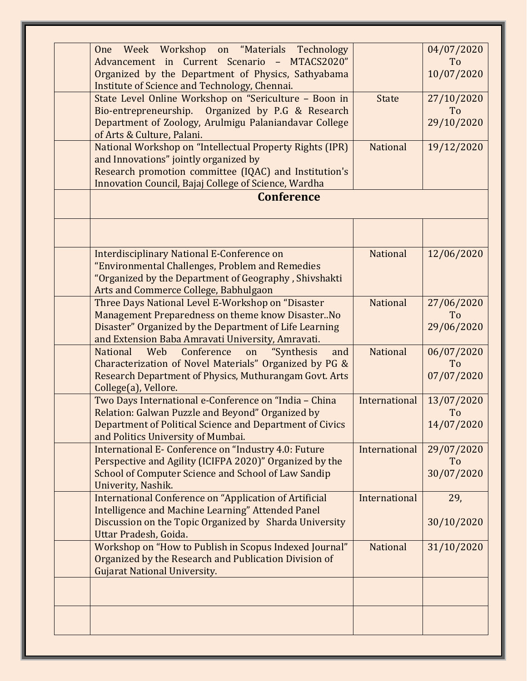| Week Workshop on "Materials Technology<br>One<br>Advancement in Current Scenario - MTACS2020"<br>Organized by the Department of Physics, Sathyabama<br>Institute of Science and Technology, Chennai.                 |                 | 04/07/2020<br>To<br>10/07/2020 |
|----------------------------------------------------------------------------------------------------------------------------------------------------------------------------------------------------------------------|-----------------|--------------------------------|
| State Level Online Workshop on "Sericulture - Boon in<br>Bio-entrepreneurship. Organized by P.G & Research<br>Department of Zoology, Arulmigu Palaniandavar College<br>of Arts & Culture, Palani.                    | <b>State</b>    | 27/10/2020<br>To<br>29/10/2020 |
| National Workshop on "Intellectual Property Rights (IPR)<br>and Innovations" jointly organized by<br>Research promotion committee (IQAC) and Institution's<br>Innovation Council, Bajaj College of Science, Wardha   | <b>National</b> | 19/12/2020                     |
| <b>Conference</b>                                                                                                                                                                                                    |                 |                                |
|                                                                                                                                                                                                                      |                 |                                |
| <b>Interdisciplinary National E-Conference on</b><br>"Environmental Challenges, Problem and Remedies<br>"Organized by the Department of Geography, Shivshakti<br>Arts and Commerce College, Babhulgaon               | <b>National</b> | 12/06/2020                     |
| Three Days National Level E-Workshop on "Disaster<br>Management Preparedness on theme know DisasterNo<br>Disaster" Organized by the Department of Life Learning<br>and Extension Baba Amravati University, Amravati. | <b>National</b> | 27/06/2020<br>To<br>29/06/2020 |
| <b>National</b><br>Web<br>Conference<br>"Synthesis<br>on<br>and<br>Characterization of Novel Materials" Organized by PG &<br>Research Department of Physics, Muthurangam Govt. Arts<br>College(a), Vellore.          | <b>National</b> | 06/07/2020<br>To<br>07/07/2020 |
| Two Days International e-Conference on "India - China<br>Relation: Galwan Puzzle and Beyond" Organized by<br>Department of Political Science and Department of Civics<br>and Politics University of Mumbai.          | International   | 13/07/2020<br>To<br>14/07/2020 |
| International E- Conference on "Industry 4.0: Future<br>Perspective and Agility (ICIFPA 2020)" Organized by the<br>School of Computer Science and School of Law Sandip<br>Univerity, Nashik.                         | International   | 29/07/2020<br>To<br>30/07/2020 |
| <b>International Conference on "Application of Artificial</b><br>Intelligence and Machine Learning" Attended Panel<br>Discussion on the Topic Organized by Sharda University<br>Uttar Pradesh, Goida.                | International   | 29,<br>30/10/2020              |
| Workshop on "How to Publish in Scopus Indexed Journal"<br>Organized by the Research and Publication Division of<br><b>Gujarat National University.</b>                                                               | <b>National</b> | 31/10/2020                     |
|                                                                                                                                                                                                                      |                 |                                |
|                                                                                                                                                                                                                      |                 |                                |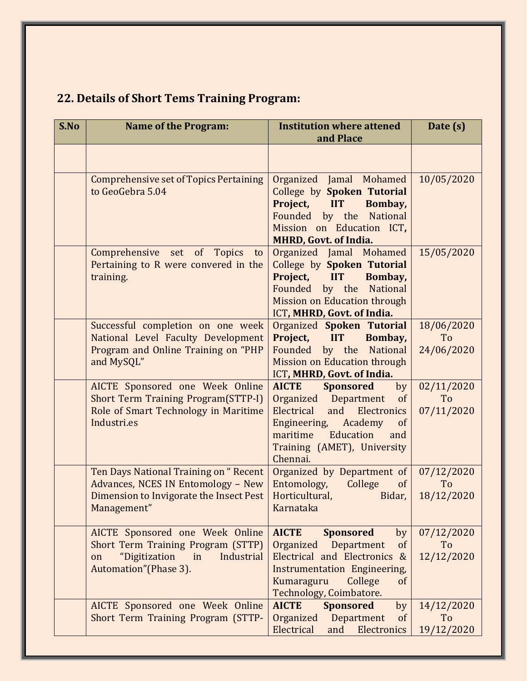|  |  |  |  |  | <b>22. Details of Short Tems Training Program:</b> |
|--|--|--|--|--|----------------------------------------------------|
|--|--|--|--|--|----------------------------------------------------|

| S.No | <b>Name of the Program:</b>                                                                                                               | <b>Institution where attened</b><br>and Place                                                                                                                                                                           | Date (s)                       |
|------|-------------------------------------------------------------------------------------------------------------------------------------------|-------------------------------------------------------------------------------------------------------------------------------------------------------------------------------------------------------------------------|--------------------------------|
|      |                                                                                                                                           |                                                                                                                                                                                                                         |                                |
|      | <b>Comprehensive set of Topics Pertaining</b><br>to GeoGebra 5.04                                                                         | Organized Jamal Mohamed<br>College by Spoken Tutorial<br>Project,<br><b>IIT</b><br>Bombay,<br>Founded by the National<br>Mission on Education ICT,<br><b>MHRD, Govt. of India.</b>                                      | 10/05/2020                     |
|      | Comprehensive set of Topics<br>to<br>Pertaining to R were convered in the<br>training.                                                    | Organized Jamal Mohamed<br>College by Spoken Tutorial<br>Project, IIT<br>Bombay,<br>Founded by the National<br>Mission on Education through<br>ICT, MHRD, Govt. of India.                                               | 15/05/2020                     |
|      | Successful completion on one week<br>National Level Faculty Development<br>Program and Online Training on "PHP<br>and MySQL"              | Organized Spoken Tutorial<br>Project,<br><b>IIT</b><br>Bombay,<br>by the National<br>Founded<br>Mission on Education through<br>ICT, MHRD, Govt. of India.                                                              | 18/06/2020<br>To<br>24/06/2020 |
|      | AICTE Sponsored one Week Online<br><b>Short Term Training Program (STTP-I)</b><br>Role of Smart Technology in Maritime<br>Industri.es     | <b>AICTE</b><br><b>Sponsored</b><br>by<br>Department<br>Organized<br>of<br>Electrical<br>and<br>Electronics<br>Academy<br>Engineering,<br>of<br>maritime<br>Education<br>and<br>Training (AMET), University<br>Chennai. | 02/11/2020<br>To<br>07/11/2020 |
|      | Ten Days National Training on "Recent<br>Advances, NCES IN Entomology - New<br>Dimension to Invigorate the Insect Pest<br>Management"     | Organized by Department of<br>Entomology,<br>College<br>of<br>Horticultural, <b>Horticultural</b> ,<br>Bidar,<br><b>Karnataka</b>                                                                                       | 07/12/2020<br>To<br>18/12/2020 |
|      | AICTE Sponsored one Week Online<br>Short Term Training Program (STTP)<br>"Digitization<br>Industrial<br>in<br>on<br>Automation"(Phase 3). | <b>AICTE</b><br><b>Sponsored</b><br>by<br>Organized<br>Department<br>of<br>Electrical and Electronics<br>$\&$<br><b>Instrumentation Engineering,</b><br>Kumaraguru<br>College<br>of<br>Technology, Coimbatore.          | 07/12/2020<br>To<br>12/12/2020 |
|      | AICTE Sponsored one Week Online<br>Short Term Training Program (STTP-                                                                     | <b>AICTE</b><br><b>Sponsored</b><br>by<br>Organized<br>Department<br>of<br>Electrical<br>Electronics<br>and                                                                                                             | 14/12/2020<br>To<br>19/12/2020 |